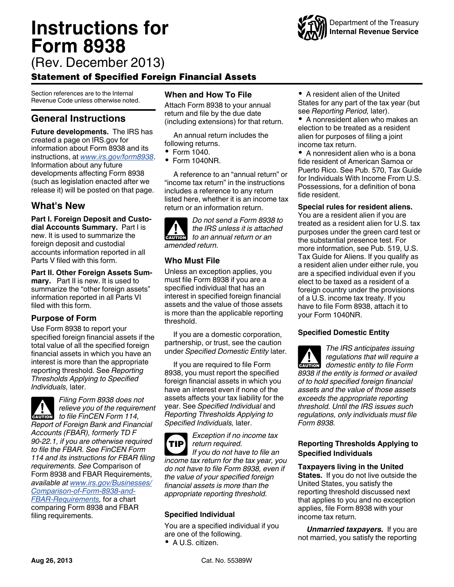# <span id="page-0-0"></span>**Instructions for Form 8938**



# Statement of Specified Foreign Financial Assets

Section references are to the Internal Revenue Code unless otherwise noted.

# **General Instructions**

**Future developments.** The IRS has created a page on IRS.gov for information about Form 8938 and its instructions, at *[www.irs.gov/form8938](http://www.irs.gov/form8938)*. Information about any future developments affecting Form 8938 (such as legislation enacted after we release it) will be posted on that page.

# **What's New**

**Part I. Foreign Deposit and Custodial Accounts Summary.** Part I is new. It is used to summarize the foreign deposit and custodial accounts information reported in all Parts V filed with this form.

**Part II. Other Foreign Assets Summary.** Part II is new. It is used to summarize the "other foreign assets" information reported in all Parts VI filed with this form.

# **Purpose of Form**

Use Form 8938 to report your specified foreign financial assets if the total value of all the specified foreign financial assets in which you have an interest is more than the appropriate reporting threshold. See *Reporting Thresholds Applying to Specified Individuals,* later.



*Filing Form 8938 does not relieve you of the requirement*  **caution** *to file FinCEN Form 114, Report of Foreign Bank and Financial Accounts (FBAR), formerly TD F 90-22.1, if you are otherwise required to file the FBAR. See FinCEN Form 114 and its instructions for FBAR filing requirements. See* Comparison of Form 8938 and FBAR Requirements, *available at [www.irs.gov/Businesses/](http://www.irs.gov/Businesses/Comparison-of-Form-8938-and-FBAR-Requirements) [Comparison-of-Form-8938-and-](http://www.irs.gov/Businesses/Comparison-of-Form-8938-and-FBAR-Requirements)[FBAR-Requirements,](http://www.irs.gov/Businesses/Comparison-of-Form-8938-and-FBAR-Requirements)* for a chart comparing Form 8938 and FBAR filing requirements.

# **When and How To File**

Attach Form 8938 to your annual return and file by the due date (including extensions) for that return.

An annual return includes the following returns.

- Form 1040.
- $\bullet$  Form 1040NR

A reference to an "annual return" or "income tax return" in the instructions includes a reference to any return listed here, whether it is an income tax return or an information return.

| IN              | Do not send a Form 8938 to<br>the IRS unless it is attached |
|-----------------|-------------------------------------------------------------|
|                 | <b>event by the annual return or an</b>                     |
| amended return. |                                                             |

# **Who Must File**

Unless an exception applies, you must file Form 8938 if you are a specified individual that has an interest in specified foreign financial assets and the value of those assets is more than the applicable reporting threshold.

If you are a domestic corporation, partnership, or trust, see the caution under *Specified Domestic Entity* later.

If you are required to file Form 8938, you must report the specified foreign financial assets in which you have an interest even if none of the assets affects your tax liability for the year. See *Specified Individual* and *Reporting Thresholds Applying to Specified Individuals,* later.

*Exception if no income tax return required. If you do not have to file an income tax return for the tax year, you do not have to file Form 8938, even if the value of your specified foreign financial assets is more than the appropriate reporting threshold.* **TIP**

# **Specified Individual**

You are a specified individual if you are one of the following.

A U.S. citizen.



• A nonresident alien who makes an election to be treated as a resident alien for purposes of filing a joint income tax return.

• A nonresident alien who is a bona fide resident of American Samoa or Puerto Rico. See Pub. 570, Tax Guide for Individuals With Income From U.S. Possessions, for a definition of bona fide resident.

**Special rules for resident aliens.** You are a resident alien if you are treated as a resident alien for U.S. tax purposes under the green card test or the substantial presence test. For more information, see Pub. 519, U.S. Tax Guide for Aliens. If you qualify as

a resident alien under either rule, you are a specified individual even if you elect to be taxed as a resident of a foreign country under the provisions of a U.S. income tax treaty. If you have to file Form 8938, attach it to your Form 1040NR.

# **Specified Domestic Entity**

*The IRS anticipates issuing regulations that will require a*  **z** *domestic entity to file Form*<br> **domestic entity to file Form** *8938 if the entity is formed or availed of to hold specified foreign financial assets and the value of those assets exceeds the appropriate reporting threshold. Until the IRS issues such regulations, only individuals must file Form 8938.*

# **Reporting Thresholds Applying to Specified Individuals**

**Taxpayers living in the United States.** If you do not live outside the United States, you satisfy the reporting threshold discussed next that applies to you and no exception applies, file Form 8938 with your income tax return.

*Unmarried taxpayers.* If you are not married, you satisfy the reporting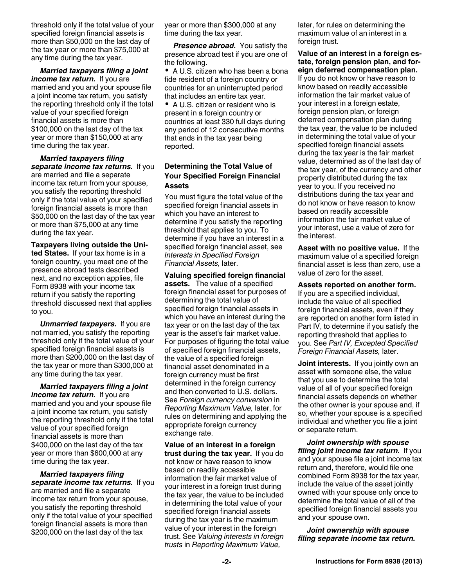<span id="page-1-0"></span>threshold only if the total value of your specified foreign financial assets is more than \$50,000 on the last day of the tax year or more than \$75,000 at any time during the tax year.

*Married taxpayers filing a joint income tax return.* If you are married and you and your spouse file a joint income tax return, you satisfy the reporting threshold only if the total value of your specified foreign financial assets is more than \$100,000 on the last day of the tax year or more than \$150,000 at any time during the tax year.

*Married taxpayers filing separate income tax returns.* If you are married and file a separate income tax return from your spouse, you satisfy the reporting threshold only if the total value of your specified foreign financial assets is more than \$50,000 on the last day of the tax year or more than \$75,000 at any time during the tax year.

**Taxpayers living outside the United States.** If your tax home is in a foreign country, you meet one of the presence abroad tests described next, and no exception applies, file Form 8938 with your income tax return if you satisfy the reporting threshold discussed next that applies to you.

*Unmarried taxpayers.* If you are not married, you satisfy the reporting threshold only if the total value of your specified foreign financial assets is more than \$200,000 on the last day of the tax year or more than \$300,000 at any time during the tax year.

*Married taxpayers filing a joint income tax return.* If you are married and you and your spouse file a joint income tax return, you satisfy the reporting threshold only if the total value of your specified foreign financial assets is more than \$400,000 on the last day of the tax year or more than \$600,000 at any time during the tax year.

*Married taxpayers filing separate income tax returns.* If you are married and file a separate income tax return from your spouse, you satisfy the reporting threshold only if the total value of your specified foreign financial assets is more than \$200,000 on the last day of the tax

year or more than \$300,000 at any time during the tax year.

*Presence abroad.* You satisfy the presence abroad test if you are one of the following.

• A U.S. citizen who has been a bona fide resident of a foreign country or countries for an uninterrupted period that includes an entire tax year.

A U.S. citizen or resident who is present in a foreign country or countries at least 330 full days during any period of 12 consecutive months that ends in the tax year being reported.

### **Determining the Total Value of Your Specified Foreign Financial Assets**

You must figure the total value of the specified foreign financial assets in which you have an interest to determine if you satisfy the reporting threshold that applies to you. To determine if you have an interest in a specified foreign financial asset, see *Interests in Specified Foreign Financial Assets,* later.

**Valuing specified foreign financial assets.** The value of a specified foreign financial asset for purposes of determining the total value of specified foreign financial assets in which you have an interest during the tax year or on the last day of the tax year is the asset's fair market value. For purposes of figuring the total value of specified foreign financial assets, the value of a specified foreign financial asset denominated in a foreign currency must be first determined in the foreign currency and then converted to U.S. dollars. See *Foreign currency conversion* in *Reporting Maximum Value,* later, for rules on determining and applying the appropriate foreign currency exchange rate.

**Value of an interest in a foreign trust during the tax year.** If you do not know or have reason to know based on readily accessible information the fair market value of your interest in a foreign trust during the tax year, the value to be included in determining the total value of your specified foreign financial assets during the tax year is the maximum value of your interest in the foreign trust. See *Valuing interests in foreign trusts* in *Reporting Maximum Value,* 

later, for rules on determining the maximum value of an interest in a foreign trust.

**Value of an interest in a foreign estate, foreign pension plan, and foreign deferred compensation plan.**  If you do not know or have reason to know based on readily accessible information the fair market value of your interest in a foreign estate, foreign pension plan, or foreign deferred compensation plan during the tax year, the value to be included in determining the total value of your specified foreign financial assets during the tax year is the fair market value, determined as of the last day of the tax year, of the currency and other property distributed during the tax year to you. If you received no distributions during the tax year and do not know or have reason to know based on readily accessible information the fair market value of your interest, use a value of zero for the interest.

**Asset with no positive value.** If the maximum value of a specified foreign financial asset is less than zero, use a value of zero for the asset.

**Assets reported on another form.**  If you are a specified individual, include the value of all specified foreign financial assets, even if they are reported on another form listed in Part IV, to determine if you satisfy the reporting threshold that applies to you. See *Part IV, Excepted Specified Foreign Financial Assets,* later.

**Joint interests.** If you jointly own an asset with someone else, the value that you use to determine the total value of all of your specified foreign financial assets depends on whether the other owner is your spouse and, if so, whether your spouse is a specified individual and whether you file a joint or separate return.

*Joint ownership with spouse filing joint income tax return.* If you and your spouse file a joint income tax return and, therefore, would file one combined Form 8938 for the tax year, include the value of the asset jointly owned with your spouse only once to determine the total value of all of the specified foreign financial assets you and your spouse own.

*Joint ownership with spouse filing separate income tax return.*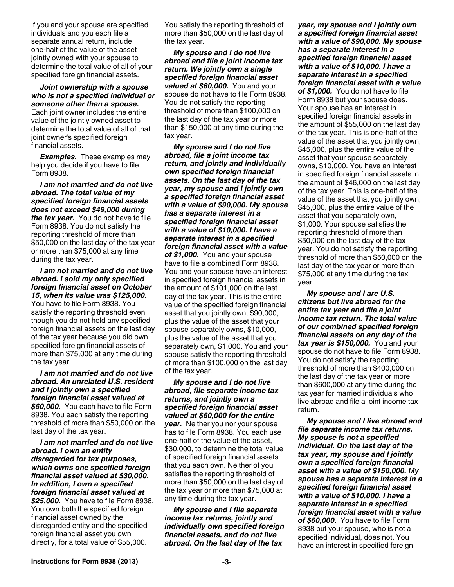<span id="page-2-0"></span>If you and your spouse are specified individuals and you each file a separate annual return, include one-half of the value of the asset jointly owned with your spouse to determine the total value of all of your specified foreign financial assets.

*Joint ownership with a spouse who is not a specified individual or someone other than a spouse.* Each joint owner includes the entire value of the jointly owned asset to determine the total value of all of that joint owner's specified foreign financial assets.

*Examples.* These examples may help you decide if you have to file Form 8938.

*I am not married and do not live abroad. The total value of my specified foreign financial assets does not exceed \$49,000 during the tax year.* You do not have to file Form 8938. You do not satisfy the reporting threshold of more than \$50,000 on the last day of the tax year or more than \$75,000 at any time during the tax year.

*I am not married and do not live abroad. I sold my only specified foreign financial asset on October 15, when its value was \$125,000.*  You have to file Form 8938. You satisfy the reporting threshold even though you do not hold any specified foreign financial assets on the last day of the tax year because you did own specified foreign financial assets of more than \$75,000 at any time during the tax year.

*I am not married and do not live abroad. An unrelated U.S. resident and I jointly own a specified foreign financial asset valued at \$60,000.* You each have to file Form 8938. You each satisfy the reporting threshold of more than \$50,000 on the last day of the tax year.

*I am not married and do not live abroad. I own an entity disregarded for tax purposes, which owns one specified foreign financial asset valued at \$30,000. In addition, I own a specified foreign financial asset valued at \$25,000.* You have to file Form 8938. You own both the specified foreign financial asset owned by the disregarded entity and the specified foreign financial asset you own directly, for a total value of \$55,000.

You satisfy the reporting threshold of more than \$50,000 on the last day of the tax year.

*My spouse and I do not live abroad and file a joint income tax return. We jointly own a single specified foreign financial asset valued at \$60,000.* You and your spouse do not have to file Form 8938. You do not satisfy the reporting threshold of more than \$100,000 on the last day of the tax year or more than \$150,000 at any time during the tax year.

*My spouse and I do not live abroad, file a joint income tax return, and jointly and individually own specified foreign financial assets. On the last day of the tax year, my spouse and I jointly own a specified foreign financial asset with a value of \$90,000. My spouse has a separate interest in a specified foreign financial asset with a value of \$10,000. I have a separate interest in a specified foreign financial asset with a value of \$1,000.* You and your spouse have to file a combined Form 8938. You and your spouse have an interest in specified foreign financial assets in the amount of \$101,000 on the last day of the tax year. This is the entire value of the specified foreign financial asset that you jointly own, \$90,000, plus the value of the asset that your spouse separately owns, \$10,000, plus the value of the asset that you separately own, \$1,000. You and your spouse satisfy the reporting threshold of more than \$100,000 on the last day of the tax year.

*My spouse and I do not live abroad, file separate income tax returns, and jointly own a specified foreign financial asset valued at \$60,000 for the entire year.* Neither you nor your spouse has to file Form 8938. You each use one-half of the value of the asset, \$30,000, to determine the total value of specified foreign financial assets that you each own. Neither of you satisfies the reporting threshold of more than \$50,000 on the last day of the tax year or more than \$75,000 at any time during the tax year.

*My spouse and I file separate income tax returns, jointly and individually own specified foreign financial assets, and do not live abroad. On the last day of the tax* 

*year, my spouse and I jointly own a specified foreign financial asset with a value of \$90,000. My spouse has a separate interest in a specified foreign financial asset with a value of \$10,000. I have a separate interest in a specified foreign financial asset with a value of \$1,000.* You do not have to file Form 8938 but your spouse does. Your spouse has an interest in specified foreign financial assets in the amount of \$55,000 on the last day of the tax year. This is one-half of the value of the asset that you jointly own, \$45,000, plus the entire value of the asset that your spouse separately owns, \$10,000. You have an interest in specified foreign financial assets in the amount of \$46,000 on the last day of the tax year. This is one-half of the value of the asset that you jointly own, \$45,000, plus the entire value of the asset that you separately own, \$1,000. Your spouse satisfies the reporting threshold of more than \$50,000 on the last day of the tax year. You do not satisfy the reporting threshold of more than \$50,000 on the last day of the tax year or more than \$75,000 at any time during the tax year.

*My spouse and I are U.S. citizens but live abroad for the entire tax year and file a joint income tax return. The total value of our combined specified foreign financial assets on any day of the tax year is \$150,000.* You and your spouse do not have to file Form 8938. You do not satisfy the reporting threshold of more than \$400,000 on the last day of the tax year or more than \$600,000 at any time during the tax year for married individuals who live abroad and file a joint income tax return.

*My spouse and I live abroad and file separate income tax returns. My spouse is not a specified individual. On the last day of the tax year, my spouse and I jointly own a specified foreign financial asset with a value of \$150,000. My spouse has a separate interest in a specified foreign financial asset with a value of \$10,000. I have a separate interest in a specified foreign financial asset with a value of \$60,000.* You have to file Form 8938 but your spouse, who is not a specified individual, does not. You have an interest in specified foreign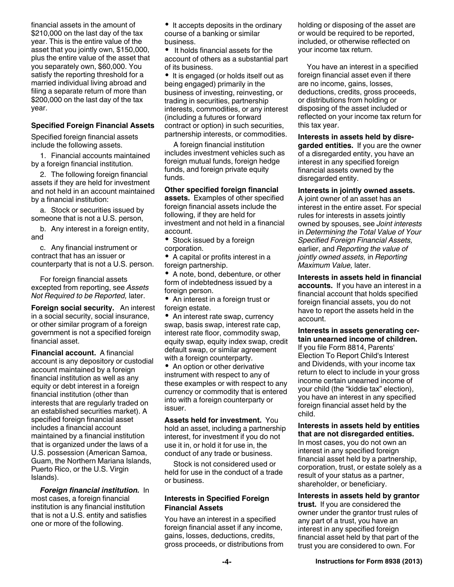<span id="page-3-0"></span>financial assets in the amount of \$210,000 on the last day of the tax year. This is the entire value of the asset that you jointly own, \$150,000, plus the entire value of the asset that you separately own, \$60,000. You satisfy the reporting threshold for a married individual living abroad and filing a separate return of more than \$200,000 on the last day of the tax year.

#### **Specified Foreign Financial Assets**

Specified foreign financial assets include the following assets.

1. Financial accounts maintained by a foreign financial institution.

2. The following foreign financial assets if they are held for investment and not held in an account maintained by a financial institution:

a. Stock or securities issued by someone that is not a U.S. person,

b. Any interest in a foreign entity, and

c. Any financial instrument or contract that has an issuer or counterparty that is not a U.S. person.

For foreign financial assets excepted from reporting, see *Assets Not Required to be Reported,* later.

**Foreign social security.** An interest in a social security, social insurance, or other similar program of a foreign government is not a specified foreign financial asset.

**Financial account.** A financial account is any depository or custodial account maintained by a foreign financial institution as well as any equity or debt interest in a foreign financial institution (other than interests that are regularly traded on an established securities market). A specified foreign financial asset includes a financial account maintained by a financial institution that is organized under the laws of a U.S. possession (American Samoa, Guam, the Northern Mariana Islands, Puerto Rico, or the U.S. Virgin Islands).

*Foreign financial institution.* In most cases, a foreign financial institution is any financial institution that is not a U.S. entity and satisfies one or more of the following.

 $\bullet$  It accepts deposits in the ordinary course of a banking or similar business.

 $\bullet$  It holds financial assets for the account of others as a substantial part of its business.

• It is engaged (or holds itself out as being engaged) primarily in the business of investing, reinvesting, or trading in securities, partnership interests, commodities, or any interest (including a futures or forward contract or option) in such securities, partnership interests, or commodities.

A foreign financial institution includes investment vehicles such as foreign mutual funds, foreign hedge funds, and foreign private equity funds.

**Other specified foreign financial assets.** Examples of other specified foreign financial assets include the following, if they are held for investment and not held in a financial account.

• Stock issued by a foreign corporation.

A capital or profits interest in a foreign partnership.

• A note, bond, debenture, or other form of indebtedness issued by a foreign person.

• An interest in a foreign trust or foreign estate.

• An interest rate swap, currency swap, basis swap, interest rate cap, interest rate floor, commodity swap, equity swap, equity index swap, credit default swap, or similar agreement with a foreign counterparty.

• An option or other derivative instrument with respect to any of these examples or with respect to any currency or commodity that is entered into with a foreign counterparty or issuer.

**Assets held for investment.** You hold an asset, including a partnership interest, for investment if you do not use it in, or hold it for use in, the conduct of any trade or business.

Stock is not considered used or held for use in the conduct of a trade or business.

#### **Interests in Specified Foreign Financial Assets**

You have an interest in a specified foreign financial asset if any income, gains, losses, deductions, credits, gross proceeds, or distributions from holding or disposing of the asset are or would be required to be reported, included, or otherwise reflected on your income tax return.

You have an interest in a specified foreign financial asset even if there are no income, gains, losses, deductions, credits, gross proceeds, or distributions from holding or disposing of the asset included or reflected on your income tax return for this tax year.

**Interests in assets held by disre-**

**garded entities.** If you are the owner of a disregarded entity, you have an interest in any specified foreign financial assets owned by the disregarded entity.

**Interests in jointly owned assets.** 

A joint owner of an asset has an interest in the entire asset. For special rules for interests in assets jointly owned by spouses, see *Joint interests*  in *Determining the Total Value of Your Specified Foreign Financial Assets,*  earlier, and *Reporting the value of jointly owned assets,* in *Reporting Maximum Value,* later.

**Interests in assets held in financial accounts.** If you have an interest in a financial account that holds specified foreign financial assets, you do not have to report the assets held in the account.

#### **Interests in assets generating certain unearned income of children.**

If you file Form 8814, Parents' Election To Report Child's Interest and Dividends, with your income tax return to elect to include in your gross income certain unearned income of your child (the "kiddie tax" election), you have an interest in any specified foreign financial asset held by the child.

#### **Interests in assets held by entities that are not disregarded entities.**

In most cases, you do not own an interest in any specified foreign financial asset held by a partnership, corporation, trust, or estate solely as a result of your status as a partner, shareholder, or beneficiary.

**Interests in assets held by grantor** 

**trust.** If you are considered the owner under the grantor trust rules of any part of a trust, you have an interest in any specified foreign financial asset held by that part of the trust you are considered to own. For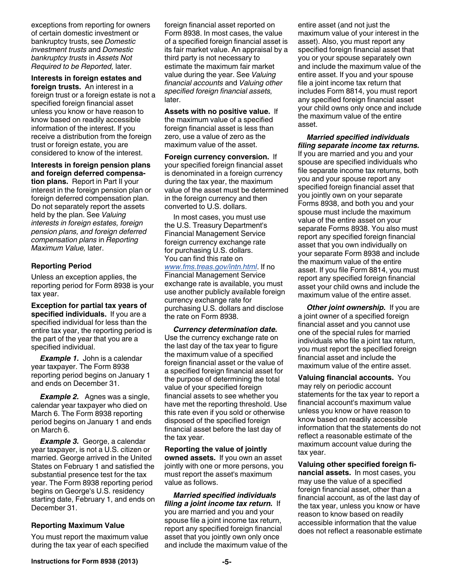<span id="page-4-0"></span>exceptions from reporting for owners of certain domestic investment or bankruptcy trusts, see *Domestic investment trusts* and *Domestic bankruptcy trusts* in *Assets Not Required to be Reported,* later.

**Interests in foreign estates and foreign trusts.** An interest in a foreign trust or a foreign estate is not a specified foreign financial asset unless you know or have reason to know based on readily accessible information of the interest. If you receive a distribution from the foreign trust or foreign estate, you are considered to know of the interest.

**Interests in foreign pension plans and foreign deferred compensation plans.** Report in Part II your interest in the foreign pension plan or foreign deferred compensation plan.

Do not separately report the assets held by the plan. See *Valuing interests in foreign estates, foreign pension plans, and foreign deferred compensation plans* in *Reporting Maximum Value,* later.

#### **Reporting Period**

Unless an exception applies, the reporting period for Form 8938 is your tax year.

**Exception for partial tax years of specified individuals.** If you are a specified individual for less than the entire tax year, the reporting period is the part of the year that you are a specified individual.

*Example 1.* John is a calendar year taxpayer. The Form 8938 reporting period begins on January 1 and ends on December 31.

**Example 2.** Agnes was a single, calendar year taxpayer who died on March 6. The Form 8938 reporting period begins on January 1 and ends on March 6.

*Example 3.* George, a calendar year taxpayer, is not a U.S. citizen or married. George arrived in the United States on February 1 and satisfied the substantial presence test for the tax year. The Form 8938 reporting period begins on George's U.S. residency starting date, February 1, and ends on December 31.

#### **Reporting Maximum Value**

You must report the maximum value during the tax year of each specified foreign financial asset reported on Form 8938. In most cases, the value of a specified foreign financial asset is its fair market value. An appraisal by a third party is not necessary to estimate the maximum fair market value during the year. See *Valuing financial accounts* and *Valuing other specified foreign financial assets,*  later.

**Assets with no positive value.** If the maximum value of a specified foreign financial asset is less than zero, use a value of zero as the maximum value of the asset.

**Foreign currency conversion.** If your specified foreign financial asset is denominated in a foreign currency during the tax year, the maximum value of the asset must be determined in the foreign currency and then converted to U.S. dollars.

In most cases, you must use the U.S. Treasury Department's Financial Management Service foreign currency exchange rate for purchasing U.S. dollars. You can find this rate on

*[www.fms.treas.gov/intn.html](http://www.fms.treas.gov/intn.html)*. If no Financial Management Service exchange rate is available, you must use another publicly available foreign currency exchange rate for purchasing U.S. dollars and disclose the rate on Form 8938.

*Currency determination date.*  Use the currency exchange rate on the last day of the tax year to figure the maximum value of a specified foreign financial asset or the value of a specified foreign financial asset for the purpose of determining the total value of your specified foreign financial assets to see whether you have met the reporting threshold. Use this rate even if you sold or otherwise disposed of the specified foreign financial asset before the last day of the tax year.

**Reporting the value of jointly owned assets.** If you own an asset jointly with one or more persons, you must report the asset's maximum value as follows.

*Married specified individuals filing a joint income tax return.* If you are married and you and your spouse file a joint income tax return, report any specified foreign financial asset that you jointly own only once and include the maximum value of the entire asset (and not just the maximum value of your interest in the asset). Also, you must report any specified foreign financial asset that you or your spouse separately own and include the maximum value of the entire asset. If you and your spouse file a joint income tax return that includes Form 8814, you must report any specified foreign financial asset your child owns only once and include the maximum value of the entire asset.

*Married specified individuals filing separate income tax returns.* 

If you are married and you and your spouse are specified individuals who file separate income tax returns, both you and your spouse report any specified foreign financial asset that you jointly own on your separate Forms 8938, and both you and your spouse must include the maximum value of the entire asset on your separate Forms 8938. You also must report any specified foreign financial asset that you own individually on your separate Form 8938 and include the maximum value of the entire asset. If you file Form 8814, you must report any specified foreign financial asset your child owns and include the maximum value of the entire asset.

**Other joint ownership.** If you are a joint owner of a specified foreign financial asset and you cannot use one of the special rules for married individuals who file a joint tax return, you must report the specified foreign financial asset and include the maximum value of the entire asset.

**Valuing financial accounts.** You may rely on periodic account statements for the tax year to report a financial account's maximum value unless you know or have reason to know based on readily accessible information that the statements do not reflect a reasonable estimate of the maximum account value during the tax year.

**Valuing other specified foreign financial assets.** In most cases, you may use the value of a specified foreign financial asset, other than a financial account, as of the last day of the tax year, unless you know or have reason to know based on readily accessible information that the value does not reflect a reasonable estimate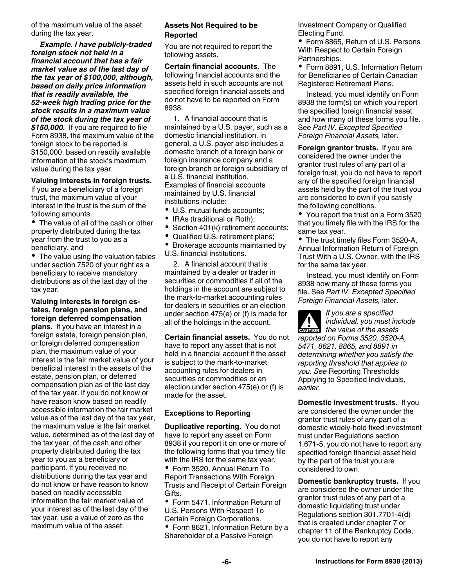<span id="page-5-0"></span>of the maximum value of the asset during the tax year.

*Example. I have publicly-traded foreign stock not held in a financial account that has a fair market value as of the last day of the tax year of \$100,000, although, based on daily price information that is readily available, the 52-week high trading price for the stock results in a maximum value of the stock during the tax year of \$150,000.* If you are required to file Form 8938, the maximum value of the foreign stock to be reported is \$150,000, based on readily available information of the stock's maximum value during the tax year.

#### **Valuing interests in foreign trusts.**

If you are a beneficiary of a foreign trust, the maximum value of your interest in the trust is the sum of the following amounts.

• The value of all of the cash or other property distributed during the tax year from the trust to you as a beneficiary, and

• The value using the valuation tables under section 7520 of your right as a beneficiary to receive mandatory distributions as of the last day of the tax year.

#### **Valuing interests in foreign estates, foreign pension plans, and foreign deferred compensation**

**plans.** If you have an interest in a foreign estate, foreign pension plan, or foreign deferred compensation plan, the maximum value of your interest is the fair market value of your beneficial interest in the assets of the estate, pension plan, or deferred compensation plan as of the last day of the tax year. If you do not know or have reason know based on readily accessible information the fair market value as of the last day of the tax year, the maximum value is the fair market value, determined as of the last day of the tax year, of the cash and other property distributed during the tax year to you as a beneficiary or participant. If you received no distributions during the tax year and do not know or have reason to know based on readily accessible information the fair market value of your interest as of the last day of the tax year, use a value of zero as the maximum value of the asset.

#### **Assets Not Required to be Reported**

You are not required to report the following assets.

**Certain financial accounts.** The following financial accounts and the assets held in such accounts are not specified foreign financial assets and do not have to be reported on Form 8938.

1. A financial account that is maintained by a U.S. payer, such as a domestic financial institution. In general, a U.S. payer also includes a domestic branch of a foreign bank or foreign insurance company and a foreign branch or foreign subsidiary of a U.S. financial institution. Examples of financial accounts maintained by U.S. financial institutions include:

- U.S. mutual funds accounts;
- IRAs (traditional or Roth);
- Section 401(k) retirement accounts;
- $\bullet$ Qualified U.S. retirement plans;
- Brokerage accounts maintained by U.S. financial institutions.

2. A financial account that is maintained by a dealer or trader in securities or commodities if all of the holdings in the account are subject to the mark-to-market accounting rules for dealers in securities or an election under section 475(e) or (f) is made for all of the holdings in the account.

**Certain financial assets.** You do not have to report any asset that is not held in a financial account if the asset is subject to the mark-to-market accounting rules for dealers in securities or commodities or an election under section 475(e) or (f) is made for the asset.

#### **Exceptions to Reporting**

**Duplicative reporting.** You do not have to report any asset on Form 8938 if you report it on one or more of the following forms that you timely file with the IRS for the same tax year.

Form 3520, Annual Return To Report Transactions With Foreign Trusts and Receipt of Certain Foreign Gifts.

• Form 5471, Information Return of U.S. Persons With Respect To Certain Foreign Corporations.

Form 8621, Information Return by a Shareholder of a Passive Foreign

Investment Company or Qualified Electing Fund.

• Form 8865, Return of U.S. Persons With Respect to Certain Foreign Partnerships.

• Form 8891, U.S. Information Return for Beneficiaries of Certain Canadian Registered Retirement Plans.

Instead, you must identify on Form 8938 the form(s) on which you report the specified foreign financial asset and how many of these forms you file. See *Part IV. Excepted Specified Foreign Financial Assets,* later.

**Foreign grantor trusts.** If you are considered the owner under the grantor trust rules of any part of a foreign trust, you do not have to report any of the specified foreign financial assets held by the part of the trust you are considered to own if you satisfy the following conditions.

• You report the trust on a Form 3520 that you timely file with the IRS for the same tax year.

• The trust timely files Form 3520-A, Annual Information Return of Foreign Trust With a U.S. Owner, with the IRS for the same tax year.

Instead, you must identify on Form 8938 how many of these forms you file. See *Part IV. Excepted Specified Foreign Financial Assets,* later.

*If you are a specified individual, you must include*  **hadividual**, you must incontract the value of the assets *reported on Forms 3520, 3520-A, 5471, 8621, 8865, and 8891 in determining whether you satisfy the reporting threshold that applies to you. See* Reporting Thresholds Applying to Specified Individuals, *earlier.* 

**Domestic investment trusts.** If you are considered the owner under the grantor trust rules of any part of a domestic widely-held fixed investment trust under Regulations section 1.671-5, you do not have to report any specified foreign financial asset held by the part of the trust you are considered to own.

**Domestic bankruptcy trusts.** If you are considered the owner under the grantor trust rules of any part of a domestic liquidating trust under Regulations section 301.7701-4(d) that is created under chapter 7 or chapter 11 of the Bankruptcy Code, you do not have to report any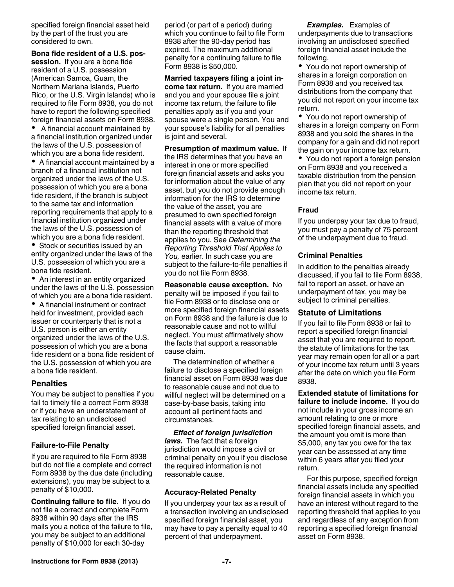<span id="page-6-0"></span>specified foreign financial asset held by the part of the trust you are considered to own.

**Bona fide resident of a U.S. possession.** If you are a bona fide resident of a U.S. possession (American Samoa, Guam, the Northern Mariana Islands, Puerto Rico, or the U.S. Virgin Islands) who is required to file Form 8938, you do not have to report the following specified foreign financial assets on Form 8938.

 A financial account maintained by a financial institution organized under the laws of the U.S. possession of which you are a bona fide resident.

A financial account maintained by a branch of a financial institution not organized under the laws of the U.S. possession of which you are a bona fide resident, if the branch is subject to the same tax and information reporting requirements that apply to a financial institution organized under the laws of the U.S. possession of which you are a bona fide resident.

• Stock or securities issued by an entity organized under the laws of the U.S. possession of which you are a bona fide resident.

• An interest in an entity organized under the laws of the U.S. possession of which you are a bona fide resident.

A financial instrument or contract held for investment, provided each issuer or counterparty that is not a U.S. person is either an entity organized under the laws of the U.S. possession of which you are a bona fide resident or a bona fide resident of the U.S. possession of which you are a bona fide resident.

#### **Penalties**

You may be subject to penalties if you fail to timely file a correct Form 8938 or if you have an understatement of tax relating to an undisclosed specified foreign financial asset.

#### **Failure-to-File Penalty**

If you are required to file Form 8938 but do not file a complete and correct Form 8938 by the due date (including extensions), you may be subject to a penalty of \$10,000.

**Continuing failure to file.** If you do not file a correct and complete Form 8938 within 90 days after the IRS mails you a notice of the failure to file, you may be subject to an additional penalty of \$10,000 for each 30-day

period (or part of a period) during which you continue to fail to file Form 8938 after the 90-day period has expired. The maximum additional penalty for a continuing failure to file Form 8938 is \$50,000.

**Married taxpayers filing a joint income tax return.** If you are married and you and your spouse file a joint income tax return, the failure to file penalties apply as if you and your spouse were a single person. You and your spouse's liability for all penalties is joint and several.

**Presumption of maximum value.** If the IRS determines that you have an interest in one or more specified foreign financial assets and asks you for information about the value of any asset, but you do not provide enough information for the IRS to determine the value of the asset, you are presumed to own specified foreign financial assets with a value of more than the reporting threshold that applies to you. See *Determining the Reporting Threshold That Applies to You,* earlier. In such case you are subject to the failure-to-file penalties if you do not file Form 8938.

**Reasonable cause exception.** No penalty will be imposed if you fail to file Form 8938 or to disclose one or more specified foreign financial assets on Form 8938 and the failure is due to reasonable cause and not to willful neglect. You must affirmatively show the facts that support a reasonable cause claim.

The determination of whether a failure to disclose a specified foreign financial asset on Form 8938 was due to reasonable cause and not due to willful neglect will be determined on a case-by-base basis, taking into account all pertinent facts and circumstances.

*Effect of foreign jurisdiction laws.* The fact that a foreign jurisdiction would impose a civil or criminal penalty on you if you disclose the required information is not reasonable cause.

#### **Accuracy-Related Penalty**

If you underpay your tax as a result of a transaction involving an undisclosed specified foreign financial asset, you may have to pay a penalty equal to 40 percent of that underpayment.

*Examples.* Examples of underpayments due to transactions involving an undisclosed specified foreign financial asset include the following.

• You do not report ownership of shares in a foreign corporation on Form 8938 and you received tax distributions from the company that you did not report on your income tax return.

You do not report ownership of shares in a foreign company on Form 8938 and you sold the shares in the company for a gain and did not report the gain on your income tax return.

• You do not report a foreign pension on Form 8938 and you received a taxable distribution from the pension plan that you did not report on your income tax return.

#### **Fraud**

If you underpay your tax due to fraud, you must pay a penalty of 75 percent of the underpayment due to fraud.

#### **Criminal Penalties**

In addition to the penalties already discussed, if you fail to file Form 8938, fail to report an asset, or have an underpayment of tax, you may be subject to criminal penalties.

#### **Statute of Limitations**

If you fail to file Form 8938 or fail to report a specified foreign financial asset that you are required to report, the statute of limitations for the tax year may remain open for all or a part of your income tax return until 3 years after the date on which you file Form 8938.

**Extended statute of limitations for failure to include income.** If you do not include in your gross income an amount relating to one or more specified foreign financial assets, and the amount you omit is more than \$5,000, any tax you owe for the tax year can be assessed at any time within 6 years after you filed your return.

For this purpose, specified foreign financial assets include any specified foreign financial assets in which you have an interest without regard to the reporting threshold that applies to you and regardless of any exception from reporting a specified foreign financial asset on Form 8938.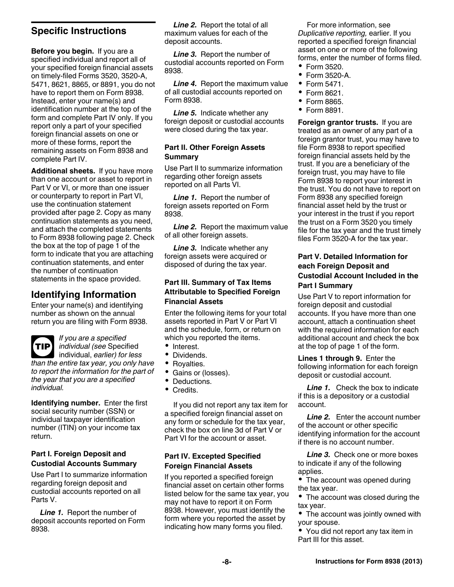# <span id="page-7-0"></span>**Specific Instructions**

**Before you begin.** If you are a specified individual and report all of your specified foreign financial assets on timely-filed Forms 3520, 3520-A, 5471, 8621, 8865, or 8891, you do not have to report them on Form 8938. Instead, enter your name(s) and identification number at the top of the form and complete Part IV only. If you report only a part of your specified foreign financial assets on one or more of these forms, report the remaining assets on Form 8938 and complete Part IV.

**Additional sheets.** If you have more than one account or asset to report in Part V or VI, or more than one issuer or counterparty to report in Part VI, use the continuation statement provided after page 2. Copy as many continuation statements as you need, and attach the completed statements to Form 8938 following page 2. Check the box at the top of page 1 of the form to indicate that you are attaching continuation statements, and enter the number of continuation statements in the space provided.

# **Identifying Information**

Enter your name(s) and identifying number as shown on the annual return you are filing with Form 8938.

*If you are a specified individual (see* Specified individual, *earlier) for less than the entire tax year, you only have to report the information for the part of the year that you are a specified individual.* **TIP**

**Identifying number.** Enter the first social security number (SSN) or individual taxpayer identification number (ITIN) on your income tax return.

### **Part I. Foreign Deposit and Custodial Accounts Summary**

Use Part I to summarize information regarding foreign deposit and custodial accounts reported on all Parts V.

*Line 1.* Report the number of deposit accounts reported on Form 8938.

*Line 2.* Report the total of all maximum values for each of the deposit accounts.

*Line 3.* Report the number of custodial accounts reported on Form 8938.

*Line 4.* Report the maximum value of all custodial accounts reported on Form 8938.

*Line 5.* Indicate whether any foreign deposit or custodial accounts were closed during the tax year.

#### **Part II. Other Foreign Assets Summary**

Use Part II to summarize information regarding other foreign assets reported on all Parts VI.

*Line 1.* Report the number of foreign assets reported on Form 8938.

**Line 2.** Report the maximum value of all other foreign assets.

*Line 3.* Indicate whether any foreign assets were acquired or disposed of during the tax year.

#### **Part III. Summary of Tax Items Attributable to Specified Foreign Financial Assets**

Enter the following items for your total assets reported in Part V or Part VI and the schedule, form, or return on which you reported the items.

- Interest.
- Dividends.
- Royalties.
- Gains or (losses).
- Deductions.
- Credits.

If you did not report any tax item for a specified foreign financial asset on any form or schedule for the tax year, check the box on line 3d of Part V or Part VI for the account or asset.

### **Part IV. Excepted Specified Foreign Financial Assets**

If you reported a specified foreign financial asset on certain other forms listed below for the same tax year, you may not have to report it on Form 8938. However, you must identify the form where you reported the asset by indicating how many forms you filed.

For more information, see *Duplicative reporting,* earlier. If you reported a specified foreign financial asset on one or more of the following forms, enter the number of forms filed.

- Form 3520.
- Form 3520-A.
- $\bullet$ Form 5471.
- Form 8621.
- Form 8865.
- Form 8891.

**Foreign grantor trusts.** If you are treated as an owner of any part of a foreign grantor trust, you may have to file Form 8938 to report specified foreign financial assets held by the trust. If you are a beneficiary of the foreign trust, you may have to file Form 8938 to report your interest in the trust. You do not have to report on Form 8938 any specified foreign financial asset held by the trust or your interest in the trust if you report the trust on a Form 3520 you timely file for the tax year and the trust timely files Form 3520-A for the tax year.

#### **Part V. Detailed Information for each Foreign Deposit and Custodial Account Included in the Part I Summary**

Use Part V to report information for foreign deposit and custodial accounts. If you have more than one account, attach a continuation sheet with the required information for each additional account and check the box at the top of page 1 of the form.

**Lines 1 through 9.** Enter the following information for each foreign deposit or custodial account.

*Line 1.* Check the box to indicate if this is a depository or a custodial account.

*Line 2.* Enter the account number of the account or other specific identifying information for the account if there is no account number.

*Line 3.* Check one or more boxes to indicate if any of the following applies.

• The account was opened during the tax year.

• The account was closed during the tax year.

• The account was jointly owned with your spouse.

You did not report any tax item in Part III for this asset.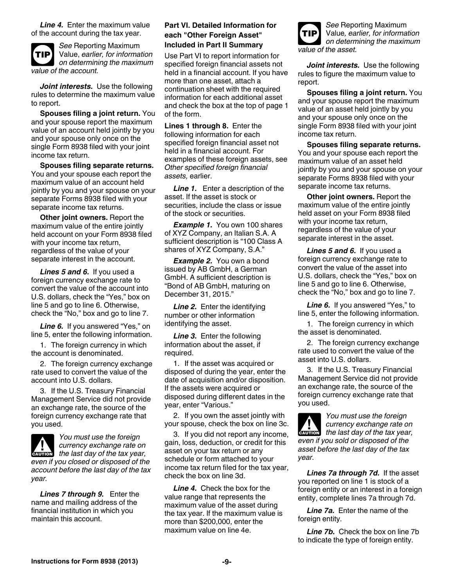<span id="page-8-0"></span>*Line 4.* Enter the maximum value of the account during the tax year.



*See* Reporting Maximum Value, *earlier, for information on determining the maximum value of the account.*

*Joint interests.* Use the following rules to determine the maximum value to report.

**Spouses filing a joint return.** You and your spouse report the maximum value of an account held jointly by you and your spouse only once on the single Form 8938 filed with your joint income tax return.

**Spouses filing separate returns.**  You and your spouse each report the maximum value of an account held jointly by you and your spouse on your separate Forms 8938 filed with your separate income tax returns.

**Other joint owners.** Report the maximum value of the entire jointly held account on your Form 8938 filed with your income tax return, regardless of the value of your separate interest in the account.

*Lines 5 and 6.* If you used a foreign currency exchange rate to convert the value of the account into U.S. dollars, check the "Yes," box on line 5 and go to line 6. Otherwise, check the "No," box and go to line 7.

Line 6. If you answered "Yes," on line 5, enter the following information.

1. The foreign currency in which the account is denominated.

2. The foreign currency exchange rate used to convert the value of the account into U.S. dollars.

3. If the U.S. Treasury Financial Management Service did not provide an exchange rate, the source of the foreign currency exchange rate that you used.



*You must use the foreign currency exchange rate on*  **c** currency exchange rate on<br> **EXUTION** the last day of the tax year, *even if you closed or disposed of the account before the last day of the tax year.*

*Lines 7 through 9.* Enter the name and mailing address of the financial institution in which you maintain this account.

#### **Part VI. Detailed Information for each "Other Foreign Asset" Included in Part II Summary**

Use Part VI to report information for specified foreign financial assets not held in a financial account. If you have more than one asset, attach a continuation sheet with the required information for each additional asset and check the box at the top of page 1 of the form.

**Lines 1 through 8.** Enter the following information for each specified foreign financial asset not held in a financial account. For examples of these foreign assets, see *Other specified foreign financial assets,* earlier.

*Line 1.* Enter a description of the asset. If the asset is stock or securities, include the class or issue of the stock or securities.

*Example 1.* You own 100 shares of XYZ Company, an Italian S.A. A sufficient description is "100 Class A shares of XYZ Company, S.A."

*Example 2.* You own a bond issued by AB GmbH, a German GmbH. A sufficient description is "Bond of AB GmbH, maturing on December 31, 2015."

*Line 2.* Enter the identifying number or other information identifying the asset.

*Line 3.* Enter the following information about the asset, if required.

1. If the asset was acquired or disposed of during the year, enter the date of acquisition and/or disposition. If the assets were acquired or disposed during different dates in the year, enter "Various."

2. If you own the asset jointly with your spouse, check the box on line 3c.

3. If you did not report any income, gain, loss, deduction, or credit for this asset on your tax return or any schedule or form attached to your income tax return filed for the tax year, check the box on line 3d.

*Line 4.* Check the box for the value range that represents the maximum value of the asset during the tax year. If the maximum value is more than \$200,000, enter the maximum value on line 4e.



*Joint interests.* Use the following rules to figure the maximum value to report.

**Spouses filing a joint return.** You and your spouse report the maximum value of an asset held jointly by you and your spouse only once on the single Form 8938 filed with your joint income tax return.

**Spouses filing separate returns.**  You and your spouse each report the maximum value of an asset held jointly by you and your spouse on your separate Forms 8938 filed with your separate income tax returns.

**Other joint owners.** Report the maximum value of the entire jointly held asset on your Form 8938 filed with your income tax return, regardless of the value of your separate interest in the asset.

*Lines 5 and 6.* If you used a foreign currency exchange rate to convert the value of the asset into U.S. dollars, check the "Yes," box on line 5 and go to line 6. Otherwise, check the "No," box and go to line 7.

Line 6. If you answered "Yes," to line 5, enter the following information.

1. The foreign currency in which the asset is denominated.

2. The foreign currency exchange rate used to convert the value of the asset into U.S. dollars.

3. If the U.S. Treasury Financial Management Service did not provide an exchange rate, the source of the foreign currency exchange rate that you used.

*You must use the foreign currency exchange rate on*  **c** currency exchange rate on<br>the last day of the tax year, *even if you sold or disposed of the asset before the last day of the tax year.*

*Lines 7a through 7d.* If the asset you reported on line 1 is stock of a foreign entity or an interest in a foreign entity, complete lines 7a through 7d.

*Line 7a.* Enter the name of the foreign entity.

*Line 7b.* Check the box on line 7b to indicate the type of foreign entity.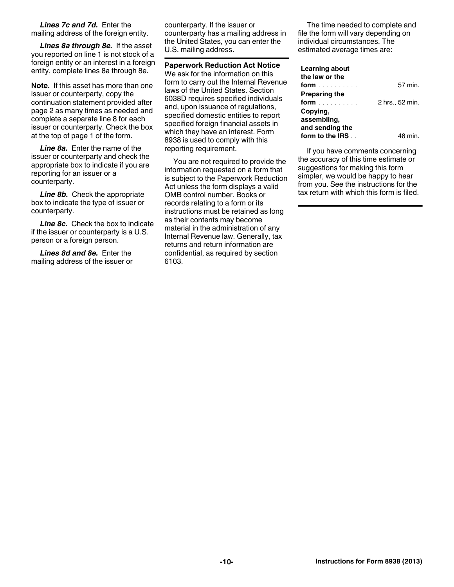<span id="page-9-0"></span>*Lines 7c and 7d.* Enter the mailing address of the foreign entity.

*Lines 8a through 8e.* If the asset you reported on line 1 is not stock of a foreign entity or an interest in a foreign entity, complete lines 8a through 8e.

**Note.** If this asset has more than one issuer or counterparty, copy the continuation statement provided after page 2 as many times as needed and complete a separate line 8 for each issuer or counterparty. Check the box at the top of page 1 of the form.

*Line 8a.* Enter the name of the issuer or counterparty and check the appropriate box to indicate if you are reporting for an issuer or a counterparty.

**Line 8b.** Check the appropriate box to indicate the type of issuer or counterparty.

**Line 8c.** Check the box to indicate if the issuer or counterparty is a U.S. person or a foreign person.

*Lines 8d and 8e.* Enter the mailing address of the issuer or counterparty. If the issuer or counterparty has a mailing address in the United States, you can enter the U.S. mailing address.

**Paperwork Reduction Act Notice** We ask for the information on this form to carry out the Internal Revenue laws of the United States. Section 6038D requires specified individuals and, upon issuance of regulations, specified domestic entities to report specified foreign financial assets in which they have an interest. Form 8938 is used to comply with this reporting requirement.

You are not required to provide the information requested on a form that is subject to the Paperwork Reduction Act unless the form displays a valid OMB control number. Books or records relating to a form or its instructions must be retained as long as their contents may become material in the administration of any Internal Revenue law. Generally, tax returns and return information are confidential, as required by section 6103.

The time needed to complete and file the form will vary depending on individual circumstances. The estimated average times are:

#### **Learning about**

| the law or the       |                 |
|----------------------|-----------------|
| <b>form</b>          | 57 min.         |
| <b>Preparing the</b> |                 |
| form                 | 2 hrs., 52 min. |
| Copving,             |                 |
| assembling,          |                 |
| and sending the      |                 |
| form to the IRS      | 48 min.         |

If you have comments concerning the accuracy of this time estimate or suggestions for making this form simpler, we would be happy to hear from you. See the instructions for the tax return with which this form is filed.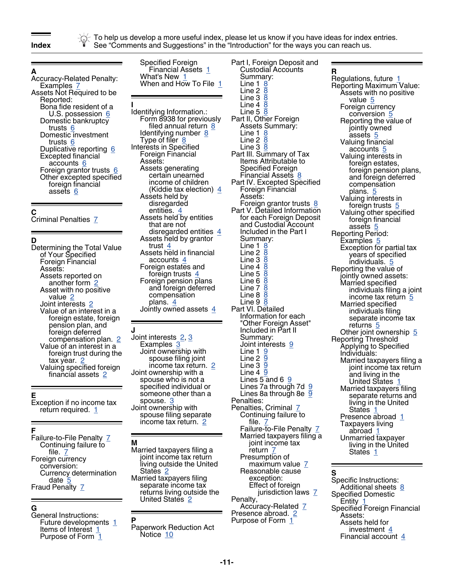

To help us develop a more useful index, please let us know if you have ideas for index entries. **Index** See "Comments and Suggestions" in the "Introduction" for the ways you can reach us.

# **A**

Accuracy-Related Penalty: Examples  $Z$ Assets Not Required to be Reported: Bona fide resident of a U.S. possession [6](#page-5-0) Domestic bankruptcy trusts <u>[6](#page-5-0)</u> Domestic investment trusts [6](#page-5-0) Duplicative reporting [6](#page-5-0) Excepted financial accounts [6](#page-5-0) Foreign grantor trusts [6](#page-5-0) Other excepted specified foreign financial assets [6](#page-5-0)

### **C**

Criminal Penalties [7](#page-6-0)

#### **D**

Determining the Total Value of Your Specified Foreign Financial Assets: Assets reported on another form [2](#page-1-0) Asset with no positive value [2](#page-1-0) Joint interests [2](#page-1-0) Value of an interest in a foreign estate, foreign pension plan, and foreign deferred compensation plan. [2](#page-1-0) Value of an interest in a foreign trust during the tax year. [2](#page-1-0) Valuing specified foreign financial assets [2](#page-1-0)

#### **E**

Exception if no income tax return required.  $1$ 

#### **F**

Failure-to-File Penalty [7](#page-6-0) Continuing failure to file. [7](#page-6-0) Foreign currency conversion: Currency determination date [5](#page-4-0) Fraud Penalty [7](#page-6-0)

# **G**

General Instructions: Future developments [1](#page-0-0) Items of Interest [1](#page-0-0) Purpose of Form [1](#page-0-0)

Specified Foreign Financial Assets [1](#page-0-0) What's New [1](#page-0-0) When and How To File [1](#page-0-0)

**I** Identifying Information.: Form 8938 for previously filed annual return [8](#page-7-0) Identifying number [8](#page-7-0) Type of filer [8](#page-7-0) Interests in Specified Foreign Financial Assets: Assets generating certain unearned income of children (Kiddie tax election) [4](#page-3-0) Assets held by disregarded entities. Assets held by entities that are not disregarded entities  $4$ Assets held by grantor trust [4](#page-3-0) Assets held in financial accounts [4](#page-3-0) Foreign estates and foreign trusts [4](#page-3-0) Foreign pension plans and foreign deferred compensation plans. [4](#page-3-0) Jointly owned assets  $\frac{4}{3}$  $\frac{4}{3}$  $\frac{4}{3}$ 

#### **J**

Joi<u>n</u>t interests [2,](#page-1-0) [3](#page-2-0) Examples [3](#page-2-0) Joint ownership with spouse filing joint income tax return. [2](#page-1-0) Joint ownership with a spouse who is not a specified individual or someone other than a spouse. [3](#page-2-0) Joint ownership with spouse filing separate income tax return. [2](#page-1-0)

#### **M** Married taxpayers filing a joint income tax return living outside the United States [2](#page-1-0) Married taxpayers filing separate income tax returns living outside the United States [2](#page-1-0)

**P**

Paperwork Reduction Act Notice [10](#page-9-0)

Part I, Foreign Deposit and Custodial Accounts Summary: Line 1 <u>[8](#page-7-0)</u> Line 2 <u>[8](#page-7-0)</u> Line  $3\bar{8}$  $3\bar{8}$  $3\bar{8}$ Line 4 <u>[8](#page-7-0)</u> Line 5 <u>[8](#page-7-0)</u> Part II, Other Foreign Assets Summary: Line 1 Line  $2\overline{8}$  $2\overline{8}$  $2\overline{8}$ Line 3 <u>[8](#page-7-0)</u> Part III. Summary of Tax Items Attributable to Specified Foreign Financial Assets [8](#page-7-0) Part IV. Excepted Specified Foreign Financial Assets: Foreign grantor trusts [8](#page-7-0) Part V. Detailed Information for each Foreign Deposit and Custodial Account Included in the Part I Summary: Line 1 [8](#page-7-0) Line 2 <mark>[8](#page-7-0)</mark> Line 3 <u>[8](#page-7-0)</u> Line  $4\overline{8}$  $4\overline{8}$  $4\overline{8}$ Line 5 <mark>[8](#page-7-0)</mark> Line 6 <u>[8](#page-7-0)</u> Line 7 <mark>[8](#page-7-0)</mark> Line [8](#page-7-0) <mark>8</mark> Line 9 <u>[8](#page-7-0)</u> Part VI. Detailed Information for each "Other Foreign Asset" Included in Part II Summary: Joint interests [9](#page-8-0) Line 1 [9](#page-8-0) Line 2 <u>[9](#page-8-0)</u> Line 3 <u>[9](#page-8-0)</u> Line  $4\overline{9}$  $4\overline{9}$  $4\overline{9}$ Lines  $5$  and  $6\frac{9}{9}$  $6\frac{9}{9}$  $6\frac{9}{9}$ Lines 7a through 7d [9](#page-8-0) Lines 8a through 8e  $\overline{9}$  $\overline{9}$  $\overline{9}$ Penalties: Penalties, Criminal [7](#page-6-0) Continuing failure to file. [7](#page-6-0) Failure-to-File Penalty [7](#page-6-0) Married taxpayers filing a joint income tax return [7](#page-6-0) Presumption of maximum value [7](#page-6-0) Reasonable cause exception: Effect of foreign jurisdiction laws [7](#page-6-0) Penalty, Accuracy-Related [7](#page-6-0) Presence abroad. [2](#page-1-0) Purpose of Form [1](#page-0-0)

**R** Regulations, future [1](#page-0-0) Reporting Maximum Value: Assets with no positive value [5](#page-4-0) Foreign currency conversion [5](#page-4-0) Reporting the value of jointly owned assets [5](#page-4-0) Valuing financial accounts [5](#page-4-0) Valuing interests in foreign estates, foreign pension plans, and foreign deferred compensation plans. [5](#page-4-0) Valuing interests in foreign trusts [5](#page-4-0) Valuing other specified foreign financial assets [5](#page-4-0) Reporting Period: Examples <u>[5](#page-4-0)</u> Exception for partial tax years of specified individuals. [5](#page-4-0) Reporting the value of jointly owned assets: Married specified individuals filing a joint income tax return [5](#page-4-0) Married specified individuals filing separate income tax returns [5](#page-4-0) Other joint ownership [5](#page-4-0) Reporting Threshold Applying to Specified Individuals: Married taxpayers filing a joint income tax return and living in the United States [1](#page-0-0) Married taxpayers filing separate returns and living in the United States [1](#page-0-0) Presence abroad [1](#page-0-0) Taxpayers living abroad [1](#page-0-0) Unmarried taxpayer living in the United States [1](#page-0-0)

#### **S**

Specific Instructions: Additional sheets [8](#page-7-0) Specified Domestic Entity [1](#page-0-0) Specified Foreign Financial Assets: Assets held for investment [4](#page-3-0) Financial account  $4$